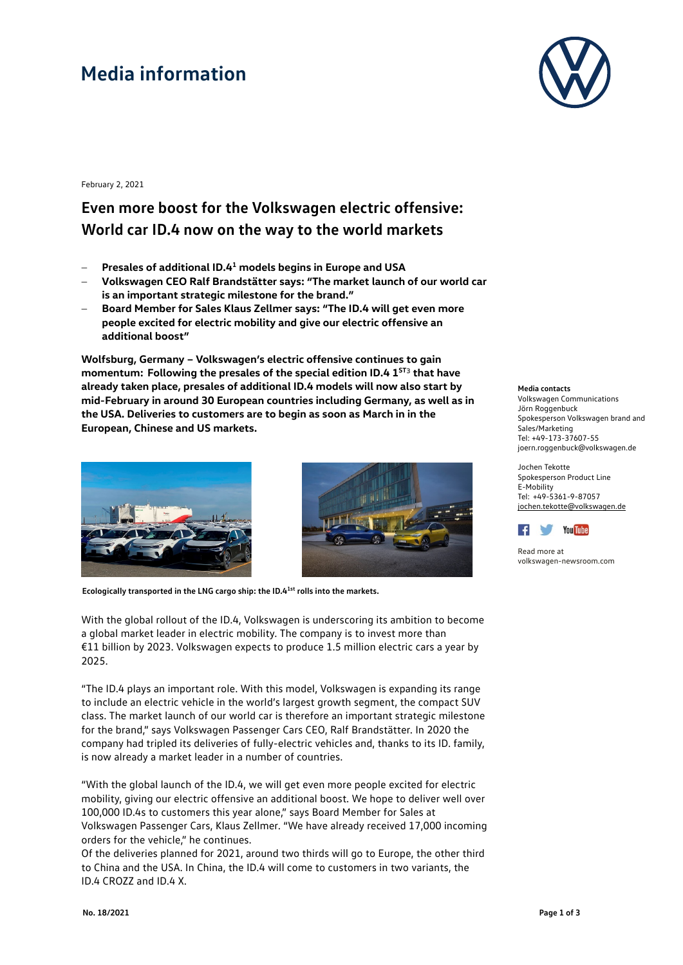## **Media information**



February 2, 2021

### **Even more boost for the Volkswagen electric offensive: World car ID.4 now on the way to the world markets**

- − **Presales of additional ID.41 models begins in Europe and USA**
- − **Volkswagen CEO Ralf Brandstätter says: "The market launch of our world car is an important strategic milestone for the brand."**
- − **Board Member for Sales Klaus Zellmer says: "The ID.4 will get even more people excited for electric mobility and give our electric offensive an additional boost"**

**Wolfsburg, Germany – Volkswagen's electric offensive continues to gain momentum: Following the presales of the special edition ID.4 1ST**<sup>3</sup> **that have already taken place, presales of additional ID.4 models will now also start by mid-February in around 30 European countries including Germany, as well as in the USA. Deliveries to customers are to begin as soon as March in in the European, Chinese and US markets.**





**Ecologically transported in the LNG cargo ship: the ID.41st rolls into the markets.**

With the global rollout of the ID.4, Volkswagen is underscoring its ambition to become a global market leader in electric mobility. The company is to invest more than €11 billion by 2023. Volkswagen expects to produce 1.5 million electric cars a year by 2025.

"The ID.4 plays an important role. With this model, Volkswagen is expanding its range to include an electric vehicle in the world's largest growth segment, the compact SUV class. The market launch of our world car is therefore an important strategic milestone for the brand," says Volkswagen Passenger Cars CEO, Ralf Brandstätter. In 2020 the company had tripled its deliveries of fully-electric vehicles and, thanks to its ID. family, is now already a market leader in a number of countries.

"With the global launch of the ID.4, we will get even more people excited for electric mobility, giving our electric offensive an additional boost. We hope to deliver well over 100,000 ID.4s to customers this year alone," says Board Member for Sales at Volkswagen Passenger Cars, Klaus Zellmer. "We have already received 17,000 incoming orders for the vehicle," he continues.

Of the deliveries planned for 2021, around two thirds will go to Europe, the other third to China and the USA. In China, the ID.4 will come to customers in two variants, the ID.4 CROZZ and ID.4 X.

#### **Media contacts**

Volkswagen Communications Jörn Roggenbuck Spokesperson Volkswagen brand and Sales/Marketing Tel: +49-173-37607-55 [joern.roggenbuck@volkswagen.de](mailto:joern.roggenbuck@volkswagen.de)

Jochen Tekotte Spokesperson Product Line E-Mobility Tel: +49-5361-9-87057 [jochen.tekotte@volkswagen.de](mailto:jochen.tekotte@volkswagen.de)



Read more at [volkswagen-newsroom.com](https://www.volkswagen-media-services.com/)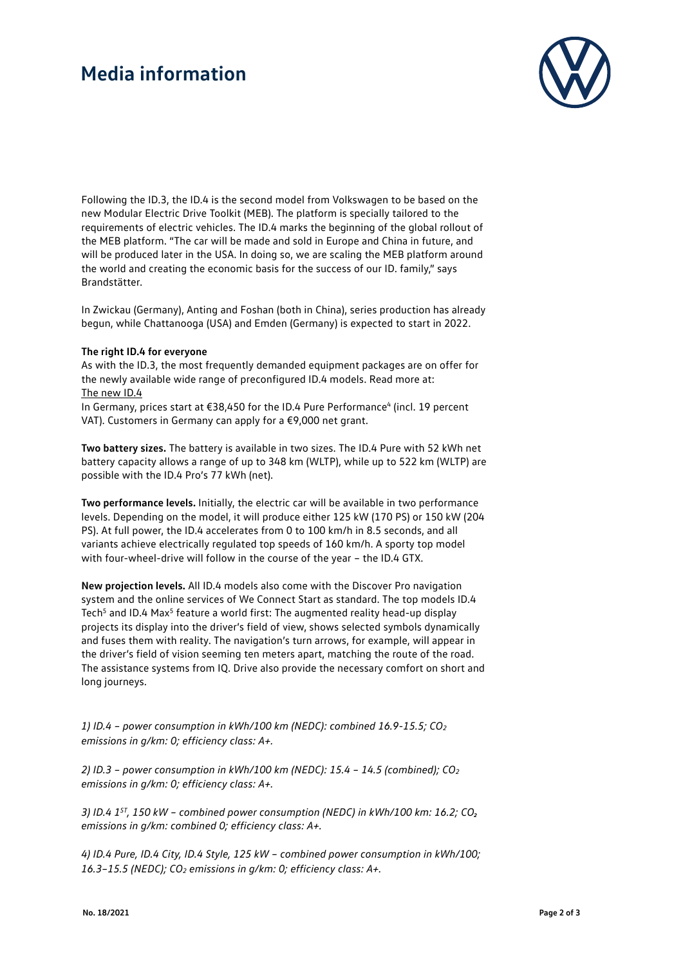### **Media information**



Following the ID.3, the ID.4 is the second model from Volkswagen to be based on the new Modular Electric Drive Toolkit (MEB). The platform is specially tailored to the requirements of electric vehicles. The ID.4 marks the beginning of the global rollout of the MEB platform. "The car will be made and sold in Europe and China in future, and will be produced later in the USA. In doing so, we are scaling the MEB platform around the world and creating the economic basis for the success of our ID. family," says Brandstätter.

In Zwickau (Germany), Anting and Foshan (both in China), series production has already begun, while Chattanooga (USA) and Emden (Germany) is expected to start in 2022.

#### **The right ID.4 for everyone**

As with the ID.3, the most frequently demanded equipment packages are on offer for the newly available wide range of preconfigured ID.4 models. Read more at: [The new ID.4](https://www.volkswagen.de/de/modelle-und-konfigurator.html/__app/id-4.app)

In Germany, prices start at €38,450 for the ID.4 Pure Performance<sup>4</sup> (incl. 19 percent VAT). Customers in Germany can apply for a €9,000 net grant.

**Two battery sizes.** The battery is available in two sizes. The ID.4 Pure with 52 kWh net battery capacity allows a range of up to 348 km (WLTP), while up to 522 km (WLTP) are possible with the ID.4 Pro's 77 kWh (net).

**Two performance levels.** Initially, the electric car will be available in two performance levels. Depending on the model, it will produce either 125 kW (170 PS) or 150 kW (204 PS). At full power, the ID.4 accelerates from 0 to 100 km/h in 8.5 seconds, and all variants achieve electrically regulated top speeds of 160 km/h. A sporty top model with four-wheel-drive will follow in the course of the year – the ID.4 GTX.

**New projection levels.** All ID.4 models also come with the Discover Pro navigation system and the online services of We Connect Start as standard. The top models ID.4 Tech<sup>5</sup> and ID.4 Max<sup>5</sup> feature a world first: The augmented reality head-up display projects its display into the driver's field of view, shows selected symbols dynamically and fuses them with reality. The navigation's turn arrows, for example, will appear in the driver's field of vision seeming ten meters apart, matching the route of the road. The assistance systems from IQ. Drive also provide the necessary comfort on short and long journeys.

*1) ID.4 – power consumption in kWh/100 km (NEDC): combined 16.9-15.5; CO2 emissions in g/km: 0; efficiency class: A+.*

*2) ID.3 – power consumption in kWh/100 km (NEDC): 15.4 – 14.5 (combined); CO2 emissions in g/km: 0; efficiency class: A+.*

*3) ID.4 1ST, 150 kW – combined power consumption (NEDC) in kWh/100 km: 16.2; CO₂ emissions in g/km: combined 0; efficiency class: A+.*

*4) ID.4 Pure, ID.4 City, ID.4 Style, 125 kW – combined power consumption in kWh/100; 16.3–15.5 (NEDC); CO2 emissions in g/km: 0; efficiency class: A+.*